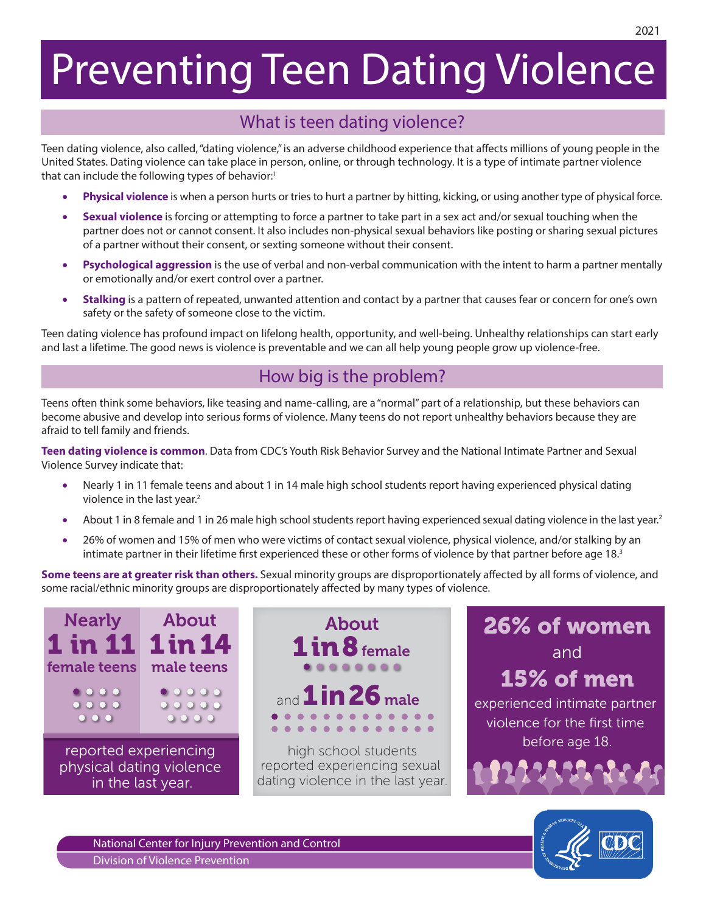# Preventing Teen Dating Violence

## What is teen dating violence?

Teen dating violence, also called, "dating violence," is an adverse childhood experience that affects millions of young people in the United States. Dating violence can take place in person, online, or through technology. It is a type of intimate partner violence that can include the following types of behavior:<sup>1</sup>

- Physical violence is when a person hurts or tries to hurt a partner by hitting, kicking, or using another type of physical force.
- • **Sexual violence** is forcing or attempting to force a partner to take part in a sex act and/or sexual touching when the partner does not or cannot consent. It also includes non-physical sexual behaviors like posting or sharing sexual pictures of a partner without their consent, or sexting someone without their consent.
- • **Psychological aggression** is the use of verbal and non-verbal communication with the intent to harm a partner mentally or emotionally and/or exert control over a partner.
- **•** Stalking is a pattern of repeated, unwanted attention and contact by a partner that causes fear or concern for one's own safety or the safety of someone close to the victim.

Teen dating violence has profound impact on lifelong health, opportunity, and well-being. Unhealthy relationships can start early and last a lifetime. The good news is violence is preventable and we can all help young people grow up violence-free.

## How big is the problem?

Teens often think some behaviors, like teasing and name-calling, are a "normal" part of a relationship, but these behaviors can become abusive and develop into serious forms of violence. Many teens do not report unhealthy behaviors because they are afraid to tell family and friends.

**Teen dating violence is common**. Data from CDC's Youth Risk Behavior Survey and the National Intimate Partner and Sexual Violence Survey indicate that:

- Nearly 1 in 11 female teens and about 1 in 14 male high school students report having experienced physical dating violence in the last year.<sup>2</sup>
- About 1 in 8 female and 1 in 26 male high school students report having experienced sexual dating violence in the last year.<sup>2</sup>
- 26% of women and 15% of men who were victims of contact sexual violence, physical violence, and/or stalking by an intimate partner in their lifetime first experienced these or other forms of violence by that partner before age 18.3

**Some teens are at greater risk than others.** Sexual minority groups are disproportionately affected by all forms of violence, and some racial/ethnic minority groups are disproportionately affected by many types of violence.



About About  $\overline{\mathbf{in}}$  8 female and  $1$ in 26 male . . . . . . . . . . . .

> high school students reported experiencing sexual dating violence in the last year.





National Center for Injury Prevention and Control Division of Violence Prevention